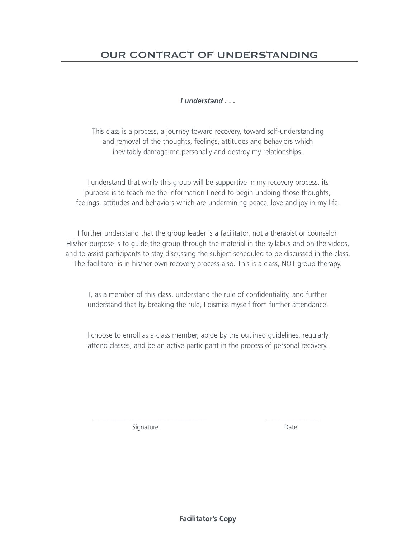## OUR CONTRACT OF UNDERSTANDING

*I understand . . .*

This class is a process, a journey toward recovery, toward self-understanding and removal of the thoughts, feelings, attitudes and behaviors which inevitably damage me personally and destroy my relationships.

I understand that while this group will be supportive in my recovery process, its purpose is to teach me the information I need to begin undoing those thoughts, feelings, attitudes and behaviors which are undermining peace, love and joy in my life.

I further understand that the group leader is a facilitator, not a therapist or counselor. His/her purpose is to guide the group through the material in the syllabus and on the videos, and to assist participants to stay discussing the subject scheduled to be discussed in the class. The facilitator is in his/her own recovery process also. This is a class, NOT group therapy.

I, as a member of this class, understand the rule of confidentiality, and further understand that by breaking the rule, I dismiss myself from further attendance.

I choose to enroll as a class member, abide by the outlined guidelines, regularly attend classes, and be an active participant in the process of personal recovery.

\_\_\_\_\_\_\_\_\_\_\_\_\_\_\_\_\_\_\_\_\_\_\_\_\_\_\_\_\_\_\_\_\_ \_\_\_\_\_\_\_\_\_\_\_\_\_\_\_

Signature Date